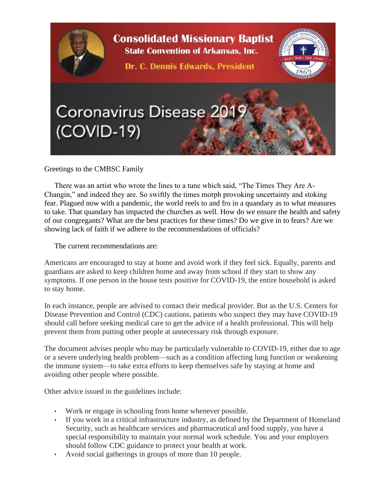

Greetings to the CMBSC Family

There was an artist who wrote the lines to a tune which said, "The Times They Are A-Changin," and indeed they are. So swiftly the times morph provoking uncertainty and stoking fear. Plagued now with a pandemic, the world reels to and fro in a quandary as to what measures to take. That quandary has impacted the churches as well. How do we ensure the health and safety of our congregants? What are the best practices for these times? Do we give in to fears? Are we showing lack of faith if we adhere to the recommendations of officials?

The current recommendations are:

Americans are encouraged to stay at home and avoid work if they feel sick. Equally, parents and guardians are asked to keep children home and away from school if they start to show any symptoms. If one person in the house tests positive for COVID-19, the entire household is asked to stay home.

In each instance, people are advised to contact their medical provider. But as the U.S. Centers for Disease Prevention and Control (CDC) cautions, patients who suspect they may have COVID-19 should call before seeking medical care to get the advice of a health professional. This will help prevent them from putting other people at unnecessary risk through exposure.

The document advises people who may be particularly vulnerable to COVID-19, either due to age or a severe underlying health problem—such as a condition affecting lung function or weakening the immune system—to take extra efforts to keep themselves safe by staying at home and avoiding other people where possible.

Other advice issued in the guidelines include:

- Work or engage in schooling from home whenever possible.
- If you work in a critical infrastructure industry, as defined by the Department of Homeland Security, such as healthcare services and pharmaceutical and food supply, you have a special responsibility to maintain your normal work schedule. You and your employers should follow CDC guidance to protect your health at work.
- Avoid social gatherings in groups of more than 10 people.